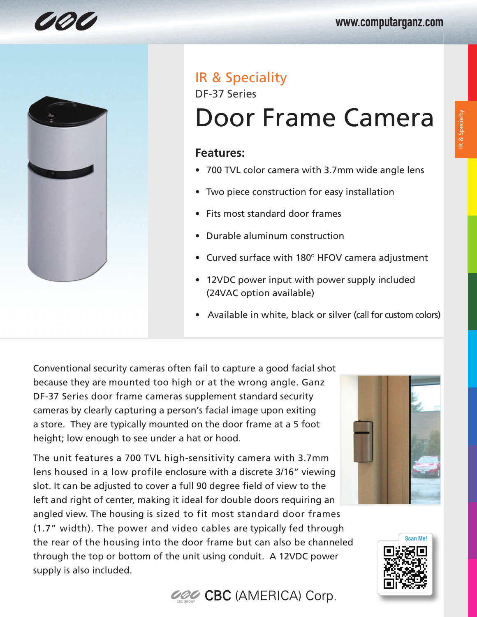

# IR & Speciality

DF-37 Series

# Door Frame Camera

### **Features:**

- 700 TVL color camera with 3.7mm wide angle lens
- Two piece construction for easy installation
- Fits most standard door frames
- Durable aluminum construction
- Curved surface with 180º HFOV camera adjustment
- 12VDC power input with power supply included (24VAC option available)
- Available in white, black or silver (call for custom colors)

Conventional security cameras often fail to capture a good facial shot because they are mounted too high or at the wrong angle. Ganz DF-37 Series door frame cameras supplement standard security cameras by clearly capturing a person's facial image upon exiting a store. They are typically mounted on the door frame at a 5 foot height; low enough to see under a hat or hood.

The unit features a 700 TVL high-sensitivity camera with 3.7mm lens housed in a low profile enclosure with a discrete 3/16" viewing slot. It can be adjusted to cover a full 90 degree field of view to the left and right of center, making it ideal for double doors requiring an angled view. The housing is sized to fit most standard door frames (1.7" width). The power and video cables are typically fed through the rear of the housing into the door frame but can also be channeled through the top or bottom of the unit using conduit. A 12VDC power supply is also included.